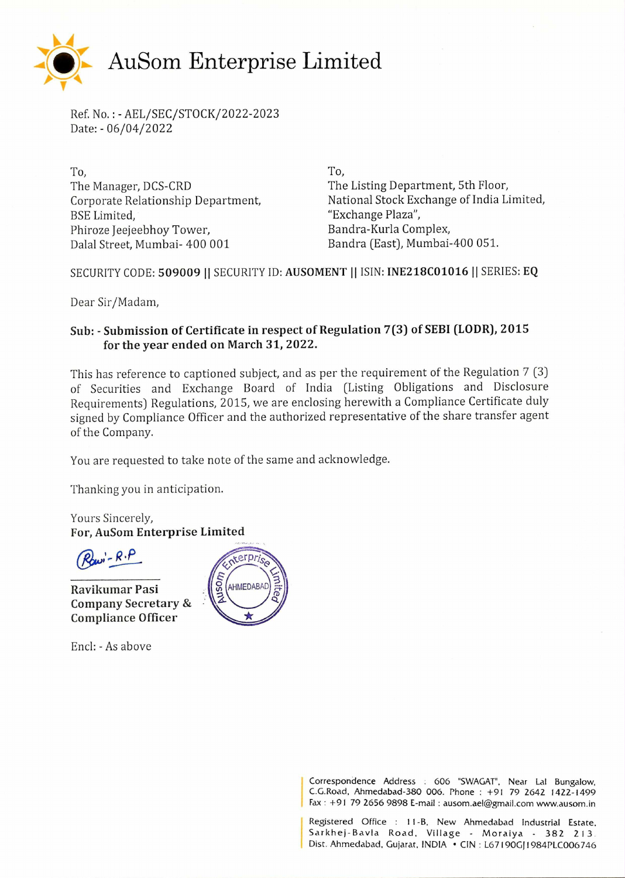

Ref. No. : - AEL/SEC/STOCK/2022-2023 Date: - 06/04/2022

To, To, The Manager, DCS-CRD The Listing Department, 5th Floor, BSE Limited, The Contract of the Case of the "Exchange Plaza", Phiroze Jeejeebhoy Tower, Bandra-Kurla Complex, Dalal Street, Mumbai- 400 001 Bandra (East), Mumbai-400 051.

Corporate Relationship Department, National Stock Exchange of India Limited,

SECURITY CODE: 509009 || SECURITY ID: AUSOMENT || ISIN: INE218C01016 || SERIES: EQ

Dear Sir/Madam,

## **Sub: - Submission of Certificate in respect of Regulation 7(3) of SEBI (LODR), 2015 for the year ended on March 31, 2022.**

This has reference to captioned subject, and as per the requirement of the Regulation 7 (3) of Securities and Exchange Board of India (Listing Obligations and Disclosure Requirements) Regulations, 2015, we are enclosing herewith a Compliance Certificate duly signed by Compliance Officer and the authorized representative of the share transfer agent of the Company.

You are requested to take note of the same and acknowledge.

Thanking you in anticipation.

Yours Sincerely, **For, AuSom Enterprise Limited** 

 $R$   $\alpha$   $\beta$   $\beta$   $\beta$ 

**Ravikumar Pasi Company Secretary & Compliance Officer** 

Encl: - As above



Correspondence Address : 606 "SWAGAT", Near Lal Bungalow, C.G.Road, Ahmedabad-380 006. Phone : +91 79 2642 1422-1499 Fax : +91 79 2656 9898 E-mail : ausom.ael@gmail.com www.ausom.in

Registered Office : 11-B, New Ahmedabad Industrial Estate, Sarkhej-Bavla Road, Village - Moraiya - 382 213 Dist. Ahmedabad, Gujarat, INDIA • CIN : L67190GJ1984PLC006746